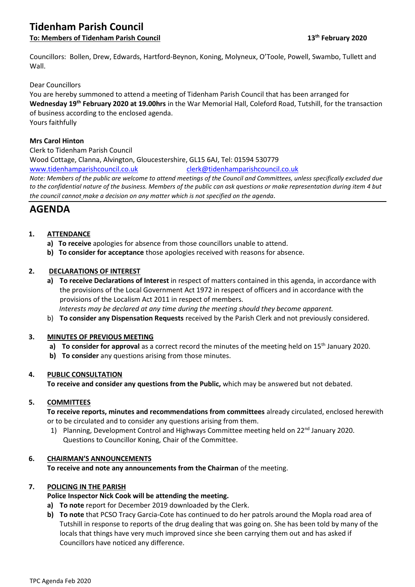# **Tidenham Parish Council**

**To: Members of Tidenham Parish Council 13th February 2020**

Councillors: Bollen, Drew, Edwards, Hartford-Beynon, Koning, Molyneux, O'Toole, Powell, Swambo, Tullett and Wall.

### Dear Councillors

You are hereby summoned to attend a meeting of Tidenham Parish Council that has been arranged for **Wednesday 19th February 2020 at 19.00hrs** in the War Memorial Hall, Coleford Road, Tutshill, for the transaction of business according to the enclosed agenda. Yours faithfully

#### **Mrs Carol Hinton**

Clerk to Tidenham Parish Council Wood Cottage, Clanna, Alvington, Gloucestershire, GL15 6AJ, Tel: 01594 530779 [www.tidenhamparishcouncil.co.uk](http://www.tidenhamparishcouncil.co.uk/) [clerk@tidenhamparishcouncil.co.uk](mailto:clerk@tidenhamparishcouncil.co.uk) *Note: Members of the public are welcome to attend meetings of the Council and Committees, unless specifically excluded due to the confidential nature of the business. Members of the public can ask questions or make representation during item 4 but the council cannot make a decision on any matter which is not specified on the agenda.*

# **AGENDA**

## **1. ATTENDANCE**

- **a) To receive** apologies for absence from those councillors unable to attend.
- **b) To consider for acceptance** those apologies received with reasons for absence.

## **2. DECLARATIONS OF INTEREST**

**a) To receive Declarations of Interest** in respect of matters contained in this agenda, in accordance with the provisions of the Local Government Act 1972 in respect of officers and in accordance with the provisions of the Localism Act 2011 in respect of members.

 *Interests may be declared at any time during the meeting should they become apparent.*

b) **To consider any Dispensation Requests** received by the Parish Clerk and not previously considered.

## **3. MINUTES OF PREVIOUS MEETING**

- **a) To consider for approval** as a correct record the minutes of the meeting held on 15<sup>th</sup> January 2020.
- **b) To consider** any questions arising from those minutes.

## **4. PUBLIC CONSULTATION**

**To receive and consider any questions from the Public,** which may be answered but not debated.

## **5. COMMITTEES**

**To receive reports, minutes and recommendations from committees** already circulated, enclosed herewith or to be circulated and to consider any questions arising from them.

1) Planning, Development Control and Highways Committee meeting held on 22<sup>nd</sup> January 2020. Questions to Councillor Koning, Chair of the Committee.

## **6. CHAIRMAN'S ANNOUNCEMENTS**

**To receive and note any announcements from the Chairman** of the meeting.

## **7. POLICING IN THE PARISH**

## **Police Inspector Nick Cook will be attending the meeting.**

- **a) To note** report for December 2019 downloaded by the Clerk.
- **b) To note** that PCSO Tracy Garcia-Cote has continued to do her patrols around the Mopla road area of Tutshill in response to reports of the drug dealing that was going on. She has been told by many of the locals that things have very much improved since she been carrying them out and has asked if Councillors have noticed any difference.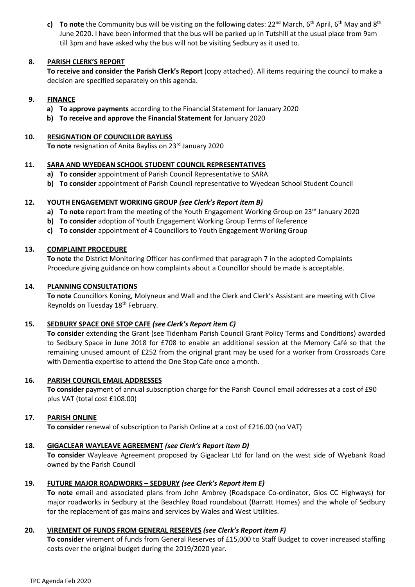**c) To note** the Community bus will be visiting on the following dates: 22<sup>nd</sup> March, 6<sup>th</sup> April, 6<sup>th</sup> May and 8<sup>th</sup> June 2020. I have been informed that the bus will be parked up in Tutshill at the usual place from 9am till 3pm and have asked why the bus will not be visiting Sedbury as it used to.

#### **8. PARISH CLERK'S REPORT**

**To receive and consider the Parish Clerk's Report** (copy attached). All items requiring the council to make a decision are specified separately on this agenda.

#### **9. FINANCE**

- **a) To approve payments** according to the Financial Statement for January 2020
- **b) To receive and approve the Financial Statement** for January 2020

#### **10. RESIGNATION OF COUNCILLOR BAYLISS**

To note resignation of Anita Bayliss on 23<sup>rd</sup> January 2020

#### **11. SARA AND WYEDEAN SCHOOL STUDENT COUNCIL REPRESENTATIVES**

- **a) To consider** appointment of Parish Council Representative to SARA
- **b) To consider** appointment of Parish Council representative to Wyedean School Student Council

#### **12. YOUTH ENGAGEMENT WORKING GROUP** *(see Clerk's Report item B)*

- **a) To note** report from the meeting of the Youth Engagement Working Group on 23<sup>rd</sup> January 2020
- **b) To consider** adoption of Youth Engagement Working Group Terms of Reference
- **c) To consider** appointment of 4 Councillors to Youth Engagement Working Group

#### **13. COMPLAINT PROCEDURE**

**To note** the District Monitoring Officer has confirmed that paragraph 7 in the adopted Complaints Procedure giving guidance on how complaints about a Councillor should be made is acceptable.

#### **14. PLANNING CONSULTATIONS**

**To note** Councillors Koning, Molyneux and Wall and the Clerk and Clerk's Assistant are meeting with Clive Reynolds on Tuesday 18th February.

## **15. SEDBURY SPACE ONE STOP CAFE** *(see Clerk's Report item C)*

**To consider** extending the Grant (see Tidenham Parish Council Grant Policy Terms and Conditions) awarded to Sedbury Space in June 2018 for £708 to enable an additional session at the Memory Café so that the remaining unused amount of £252 from the original grant may be used for a worker from Crossroads Care with Dementia expertise to attend the One Stop Cafe once a month.

#### **16. PARISH COUNCIL EMAIL ADDRESSES**

**To consider** payment of annual subscription charge for the Parish Council email addresses at a cost of £90 plus VAT (total cost £108.00)

## **17. PARISH ONLINE**

**To consider** renewal of subscription to Parish Online at a cost of £216.00 (no VAT)

# **18. GIGACLEAR WAYLEAVE AGREEMENT** *(see Clerk's Report item D)*

**To consider** Wayleave Agreement proposed by Gigaclear Ltd for land on the west side of Wyebank Road owned by the Parish Council

## **19. FUTURE MAJOR ROADWORKS – SEDBURY** *(see Clerk's Report item E)*

**To note** email and associated plans from John Ambrey (Roadspace Co-ordinator, Glos CC Highways) for major roadworks in Sedbury at the Beachley Road roundabout (Barratt Homes) and the whole of Sedbury for the replacement of gas mains and services by Wales and West Utilities.

# **20. VIREMENT OF FUNDS FROM GENERAL RESERVES** *(see Clerk's Report item F)*

**To consider** virement of funds from General Reserves of £15,000 to Staff Budget to cover increased staffing costs over the original budget during the 2019/2020 year.